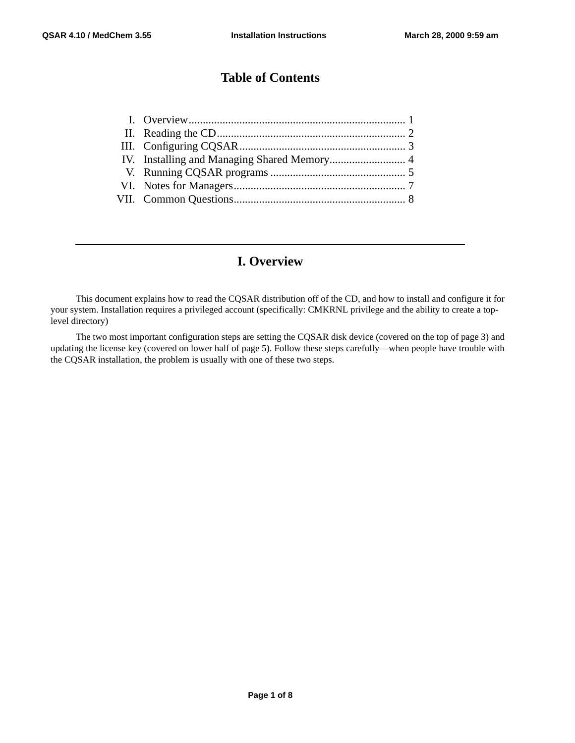# **Table of Contents**

# **I. Overview**

This document explains how to read the CQSAR distribution off of the CD, and how to install and configure it for your system. Installation requires a privileged account (specifically: CMKRNL privilege and the ability to create a toplevel directory)

The two most important configuration steps are setting the CQSAR disk device (covered on the top of page 3) and updating the license key (covered on lower half of page 5). Follow these steps carefully—when people have trouble with the CQSAR installation, the problem is usually with one of these two steps.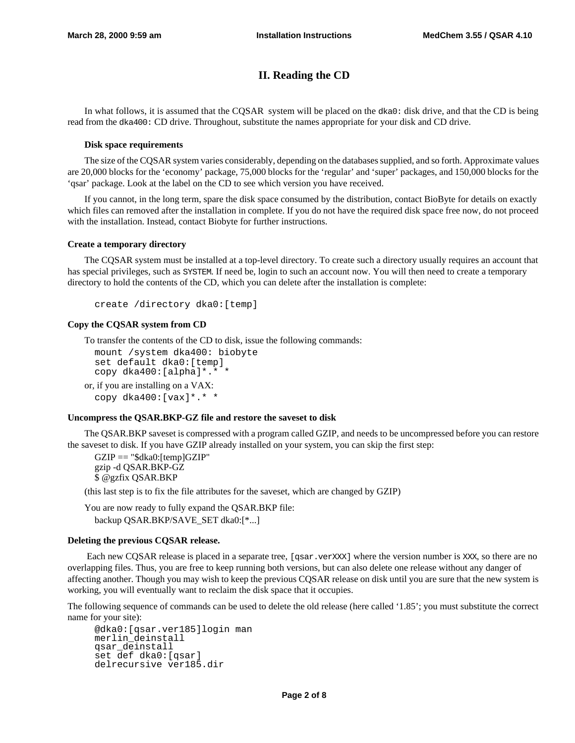# **II. Reading the CD**

In what follows, it is assumed that the CQSAR system will be placed on the dka0: disk drive, and that the CD is being read from the dka400: CD drive. Throughout, substitute the names appropriate for your disk and CD drive.

### **Disk space requirements**

The size of the CQSAR system varies considerably, depending on the databases supplied, and so forth. Approximate values are 20,000 blocks for the 'economy' package, 75,000 blocks for the 'regular' and 'super' packages, and 150,000 blocks for the 'qsar' package. Look at the label on the CD to see which version you have received.

If you cannot, in the long term, spare the disk space consumed by the distribution, contact BioByte for details on exactly which files can removed after the installation in complete. If you do not have the required disk space free now, do not proceed with the installation. Instead, contact Biobyte for further instructions.

### **Create a temporary directory**

The CQSAR system must be installed at a top-level directory. To create such a directory usually requires an account that has special privileges, such as SYSTEM. If need be, login to such an account now. You will then need to create a temporary directory to hold the contents of the CD, which you can delete after the installation is complete:

```
create /directory dka0:[temp]
```
### **Copy the CQSAR system from CD**

To transfer the contents of the CD to disk, issue the following commands:

```
mount /system dka400: biobyte
 set default dka0:[temp]
 copy dka400:[alpha]*.* *
or, if you are installing on a VAX:
 copy dka400:[vax]*.* *
```
### **Uncompress the QSAR.BKP-GZ file and restore the saveset to disk**

The QSAR.BKP saveset is compressed with a program called GZIP, and needs to be uncompressed before you can restore the saveset to disk. If you have GZIP already installed on your system, you can skip the first step:

 $GZIP == "$dka0:[temp]GZIP"$ gzip -d QSAR.BKP-GZ \$ @gzfix QSAR.BKP

(this last step is to fix the file attributes for the saveset, which are changed by GZIP)

You are now ready to fully expand the QSAR.BKP file: backup QSAR.BKP/SAVE\_SET dka0:[\*...]

### **Deleting the previous CQSAR release.**

Each new CQSAR release is placed in a separate tree, [qsar.verXXX] where the version number is XXX, so there are no overlapping files. Thus, you are free to keep running both versions, but can also delete one release without any danger of affecting another. Though you may wish to keep the previous CQSAR release on disk until you are sure that the new system is working, you will eventually want to reclaim the disk space that it occupies.

The following sequence of commands can be used to delete the old release (here called '1.85'; you must substitute the correct name for your site):

```
@dka0:[qsar.ver185]login man
merlin_deinstall
qsar_deinstall
set def dka0:[qsar]
delrecursive ver185.dir
```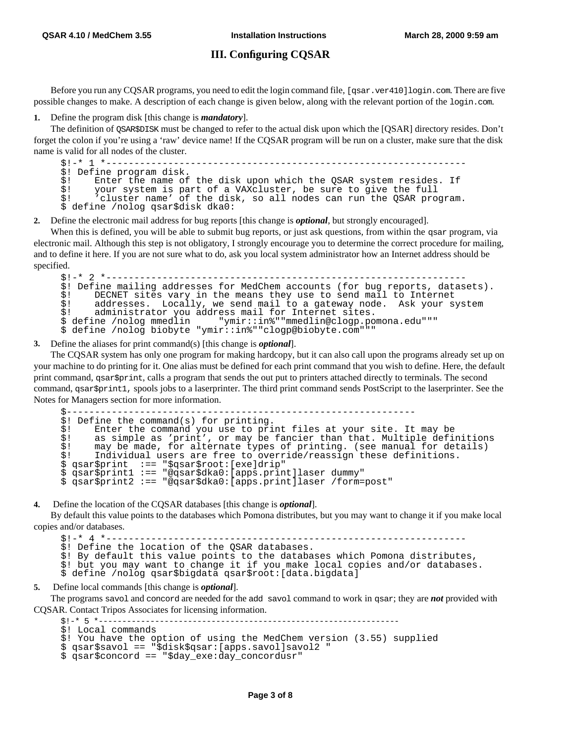### **III. Configuring CQSAR**

Before you run any CQSAR programs, you need to edit the login command file, [qsar.ver410]login.com. There are five possible changes to make. A description of each change is given below, along with the relevant portion of the login.com.

**1.** Define the program disk [this change is *mandatory*].

The definition of QSAR\$DISK must be changed to refer to the actual disk upon which the [QSAR] directory resides. Don't forget the colon if you're using a 'raw' device name! If the CQSAR program will be run on a cluster, make sure that the disk name is valid for all nodes of the cluster.

\$!-\* 1 \*---------------------------------------------------------------- \$! Define program disk.<br>\$! Enter the name of  $\dot{s}$ ! Enter the name of the disk upon which the QSAR system resides. If your system is part of a VAXcluster, be sure to give the full \$! 'cluster name' of the disk, so all nodes can run the QSAR program. \$ define /nolog qsar\$disk dka0:

**2.** Define the electronic mail address for bug reports [this change is *optional*, but strongly encouraged].

When this is defined, you will be able to submit bug reports, or just ask questions, from within the qsar program, via electronic mail. Although this step is not obligatory, I strongly encourage you to determine the correct procedure for mailing, and to define it here. If you are not sure what to do, ask you local system administrator how an Internet address should be specified.

```
$!-* 2 *---------------------------------------------------------------- 
$! Define mailing addresses for MedChem accounts (for bug reports, datasets). 
$! DECNET sites vary in the means they use to send mail to Internet<br>$! addresses. Locally, we send mail to a gateway node. Ask your s
$! addresses. Locally, we send mail to a gateway node. Ask your system<br>$! administrator you address mail for Internet sites.
$! administrator you address mail for Internet sites. 
                                   " ymir::in%" "mmedlin@clogp.pomona.edu" ""
$ define /nolog biobyte "ymir::in%""clogp@biobyte.com"""
```
**3.** Define the aliases for print command(s) [this change is *optional*].

The CQSAR system has only one program for making hardcopy, but it can also call upon the programs already set up on your machine to do printing for it. One alias must be defined for each print command that you wish to define. Here, the default print command, qsar\$print, calls a program that sends the out put to printers attached directly to terminals. The second command, qsar\$print1, spools jobs to a laserprinter. The third print command sends PostScript to the laserprinter. See the Notes for Managers section for more information.

```
$-------------------------------------------------------------- 
$! Define the command(s) for printing.<br>$! Enter the command you use to pri
$! Enter the command you use to print files at your site. It may be $3! as simple as 'print', or may be fancier than that. Multiple defing
\dot{s}! as simple as 'print', or may be fancier than that. Multiple definitions<br>\dot{s}! may be made, for alternate types of printing, (see manual for details)
\dot{s}! may be made, for alternate types of printing. (see manual for details)<br>\dot{s}! Individual users are free to override/reassign these definitions.
        Individual users are free to override/reassign these definitions.
$ qsar$print :== "$qsar$root:[exe]drip"
$ qsar$print1 :== "@qsar$dka0:[apps.print]laser dummy"
$ qsar$print2 :== "@qsar$dka0:[apps.print]laser /form=post"
```
**4.** Define the location of the CQSAR databases [this change is *optional*].

By default this value points to the databases which Pomona distributes, but you may want to change it if you make local copies and/or databases.

\$!-\* 4 \*---------------------------------------------------------------- \$! Define the location of the QSAR databases. \$! By default this value points to the databases which Pomona distributes, \$! but you may want to change it if you make local copies and/or databases.<br>\$ define /nolog gsar\$bigdata gsar\$root:[data.bigdata] define /nolog qsar\$bigdata qsar\$root:[data.biqdata]

**5.** Define local commands [this change is *optional*].

The programs savol and concord are needed for the add savol command to work in qsar; they are *not* provided with CQSAR. Contact Tripos Associates for licensing information.

**Page 3 of 8**

```
$!-* 5 *----------------------------------------------------------------
```

```
$! Local commands
```

```
$! You have the option of using the MedChem version (3.55) supplied
```

```
$ qsar$savol == "$disk$qsar:[apps.savol]savol2 "
$ qsar$concord == "$day_exe:day_concordusr"
```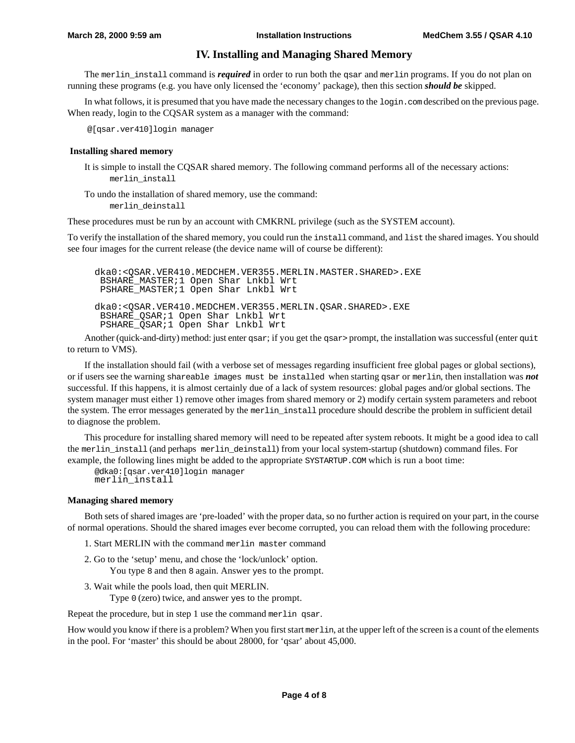## **IV. Installing and Managing Shared Memory**

The merlin install command is *required* in order to run both the qsar and merlin programs. If you do not plan on running these programs (e.g. you have only licensed the 'economy' package), then this section *should be* skipped.

In what follows, it is presumed that you have made the necessary changes to the login.com described on the previous page. When ready, login to the CQSAR system as a manager with the command:

@[qsar.ver410]login manager

#### **Installing shared memory**

 It is simple to install the CQSAR shared memory. The following command performs all of the necessary actions: merlin\_install

To undo the installation of shared memory, use the command: merlin\_deinstall

These procedures must be run by an account with CMKRNL privilege (such as the SYSTEM account).

To verify the installation of the shared memory, you could run the install command, and list the shared images. You should see four images for the current release (the device name will of course be different):

dka0:<QSAR.VER410.MEDCHEM.VER355.MERLIN.MASTER.SHARED>.EXE BSHARE\_MASTER;1 Open Shar Lnkbl Wrt PSHARE\_MASTER;1 Open Shar Lnkbl Wrt dka0:<QSAR.VER410.MEDCHEM.VER355.MERLIN.QSAR.SHARED>.EXE BSHARE\_QSAR;1 Open Shar Lnkbl Wrt PSHARE\_QSAR;1 Open Shar Lnkbl Wrt

Another (quick-and-dirty) method: just enter qsar; if you get the qsar> prompt, the installation was successful (enter quit to return to VMS).

If the installation should fail (with a verbose set of messages regarding insufficient free global pages or global sections), or if users see the warning shareable images must be installed when starting qsar or merlin, then installation was *not* successful. If this happens, it is almost certainly due of a lack of system resources: global pages and/or global sections. The system manager must either 1) remove other images from shared memory or 2) modify certain system parameters and reboot the system. The error messages generated by the merlin\_install procedure should describe the problem in sufficient detail to diagnose the problem.

This procedure for installing shared memory will need to be repeated after system reboots. It might be a good idea to call the merlin\_install (and perhaps merlin\_deinstall) from your local system-startup (shutdown) command files. For example, the following lines might be added to the appropriate SYSTARTUP.COM which is run a boot time:

```
@dka0:[qsar.ver410]login manager
merlin_install
```
#### **Managing shared memory**

Both sets of shared images are 'pre-loaded' with the proper data, so no further action is required on your part, in the course of normal operations. Should the shared images ever become corrupted, you can reload them with the following procedure:

- 1. Start MERLIN with the command merlin master command
- 2. Go to the 'setup' menu, and chose the 'lock/unlock' option. You type 8 and then 8 again. Answer yes to the prompt.
- 3. Wait while the pools load, then quit MERLIN. Type 0 (zero) twice, and answer yes to the prompt.

Repeat the procedure, but in step 1 use the command merlin qsar.

How would you know if there is a problem? When you first start merlin, at the upper left of the screen is a count of the elements in the pool. For 'master' this should be about 28000, for 'qsar' about 45,000.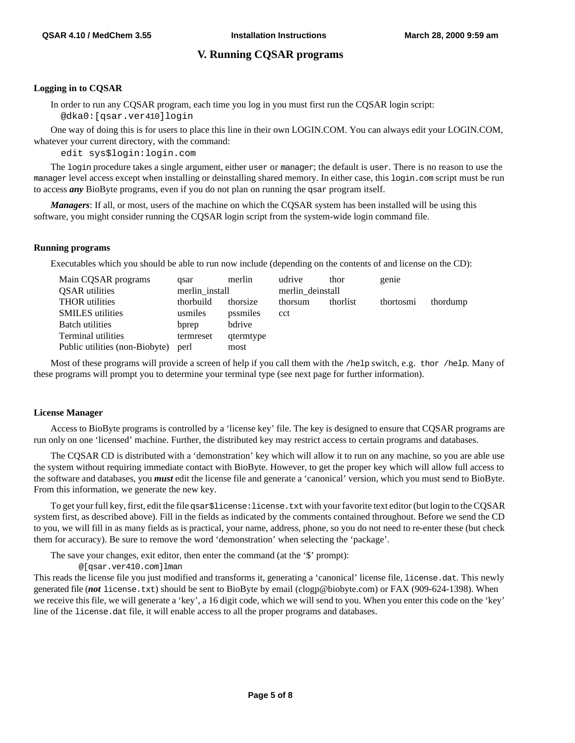# **V. Running CQSAR programs**

### **Logging in to CQSAR**

 In order to run any CQSAR program, each time you log in you must first run the CQSAR login script: @dka0:[qsar.ver410]login

One way of doing this is for users to place this line in their own LOGIN.COM. You can always edit your LOGIN.COM, whatever your current directory, with the command:

edit sys\$login:login.com

The login procedure takes a single argument, either user or manager; the default is user. There is no reason to use the manager level access except when installing or deinstalling shared memory. In either case, this login.com script must be run to access *any* BioByte programs, even if you do not plan on running the qsar program itself.

*Managers*: If all, or most, users of the machine on which the CQSAR system has been installed will be using this software, you might consider running the CQSAR login script from the system-wide login command file.

### **Running programs**

Executables which you should be able to run now include (depending on the contents of and license on the CD):

| Main CQSAR programs            | asar           | merlin    | udrive           | thor     | genie     |          |
|--------------------------------|----------------|-----------|------------------|----------|-----------|----------|
| <b>OSAR</b> utilities          | merlin install |           | merlin deinstall |          |           |          |
| <b>THOR</b> utilities          | thorbuild      | thorsize  | thorsum          | thorlist | thortosmi | thordump |
| <b>SMILES</b> utilities        | usmiles        | pssmiles  | cct              |          |           |          |
| Batch utilities                | bprep          | bdrive    |                  |          |           |          |
| Terminal utilities             | termreset      | qtermtype |                  |          |           |          |
| Public utilities (non-Biobyte) | perl           | most      |                  |          |           |          |

Most of these programs will provide a screen of help if you call them with the /help switch, e.g. thor /help. Many of these programs will prompt you to determine your terminal type (see next page for further information).

### **License Manager**

Access to BioByte programs is controlled by a 'license key' file. The key is designed to ensure that CQSAR programs are run only on one 'licensed' machine. Further, the distributed key may restrict access to certain programs and databases.

The CQSAR CD is distributed with a 'demonstration' key which will allow it to run on any machine, so you are able use the system without requiring immediate contact with BioByte. However, to get the proper key which will allow full access to the software and databases, you *must* edit the license file and generate a 'canonical' version, which you must send to BioByte. From this information, we generate the new key.

To get your full key, first, edit the file qsar\$license:license.txt with your favorite text editor (but login to the CQSAR system first, as described above). Fill in the fields as indicated by the comments contained throughout. Before we send the CD to you, we will fill in as many fields as is practical, your name, address, phone, so you do not need to re-enter these (but check them for accuracy). Be sure to remove the word 'demonstration' when selecting the 'package'.

The save your changes, exit editor, then enter the command (at the '\$' prompt):

@[qsar.ver410.com]lman

This reads the license file you just modified and transforms it, generating a 'canonical' license file, license.dat. This newly generated file (*not* license.txt) should be sent to BioByte by email (clogp@biobyte.com) or FAX (909-624-1398). When we receive this file, we will generate a 'key', a 16 digit code, which we will send to you. When you enter this code on the 'key' line of the license.dat file, it will enable access to all the proper programs and databases.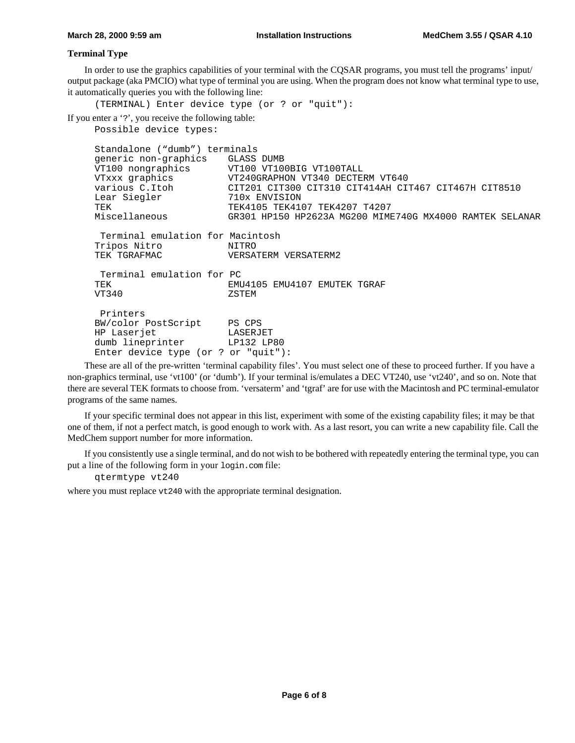### **Terminal Type**

In order to use the graphics capabilities of your terminal with the CQSAR programs, you must tell the programs' input/ output package (aka PMCIO) what type of terminal you are using. When the program does not know what terminal type to use, it automatically queries you with the following line:

(TERMINAL) Enter device type (or ? or "quit"):

If you enter a '?', you receive the following table:

```
Possible device types:
```

```
Standalone ("dumb") terminals
generic non-graphics GLASS DUMB<br>VT100 nongraphics VT100 VT10
                     VT100 VT100BIG VT100TALL
VTxxx graphics VT240GRAPHON VT340 DECTERM VT640
various C.Itoh CIT201 CIT300 CIT310 CIT414AH CIT467 CIT467H CIT8510
Lear Siegler 710x ENVISION
TEK TEK4105 TEK4107 TEK4207 T4207
Miscellaneous GR301 HP150 HP2623A MG200 MIME740G MX4000 RAMTEK SELANAR
  Terminal emulation for Macintosh
Tripos Nitro MITRO NITRO NERSA
                     VERSATERM VERSATERM2
 Terminal emulation for PC
TEK EMU4105 EMU4107 EMUTEK TGRAF
VT340 ZSTEM
 Printers
BW/color PostScript PS CPS
HP Laserjet LASERJET
dumb lineprinter LP132 LP80
Enter device type (or ? or "quit"):
```
These are all of the pre-written 'terminal capability files'. You must select one of these to proceed further. If you have a non-graphics terminal, use 'vt100' (or 'dumb'). If your terminal is/emulates a DEC VT240, use 'vt240', and so on. Note that there are several TEK formats to choose from. 'versaterm' and 'tgraf' are for use with the Macintosh and PC terminal-emulator programs of the same names.

If your specific terminal does not appear in this list, experiment with some of the existing capability files; it may be that one of them, if not a perfect match, is good enough to work with. As a last resort, you can write a new capability file. Call the MedChem support number for more information.

If you consistently use a single terminal, and do not wish to be bothered with repeatedly entering the terminal type, you can put a line of the following form in your login.com file:

qtermtype vt240

where you must replace  $vt240$  with the appropriate terminal designation.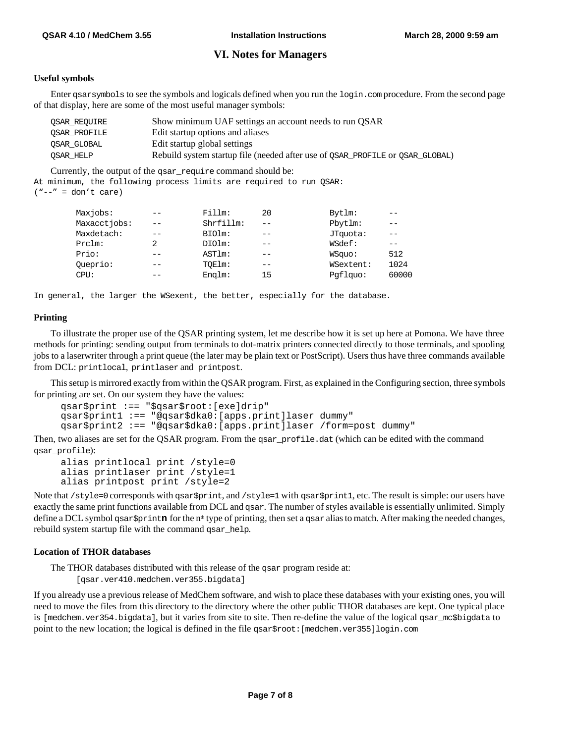## **VI. Notes for Managers**

### **Useful symbols**

Enter gsarsymbols to see the symbols and logicals defined when you run the login.com procedure. From the second page of that display, here are some of the most useful manager symbols:

| OSAR REOUIRE | Show minimum UAF settings an account needs to run OSAR                        |
|--------------|-------------------------------------------------------------------------------|
| OSAR PROFILE | Edit startup options and aliases                                              |
| OSAR GLOBAL  | Edit startup global settings                                                  |
| OSAR HELP    | Rebuild system startup file (needed after use of QSAR_PROFILE Or QSAR_GLOBAL) |

Currently, the output of the qsar\_require command should be:

At minimum, the following process limits are required to run QSAR:  $("--" = don't care)$ 

| Maxjobs:<br>Fillm:<br>20<br>Bytlm:              |       |
|-------------------------------------------------|-------|
| Maxacctiobs:<br>Shrfillm:<br>Pbytlm:<br>--      |       |
| Maxdetach:<br>BIOlm:<br>JTquota:<br>$- -$<br>-- |       |
| WSdef:<br>$Prclm$ :<br>DIOlm:<br>--             |       |
| Prio:<br>ASTIm:<br>WSquo:<br>--                 | 512   |
| Queprio:<br>TOElm:<br>WSextent:<br>--<br>--     | 1024  |
| Englm:<br>Pqflquo:<br>$CPIJ$ :<br>15<br>__      | 60000 |

In general, the larger the WSexent, the better, especially for the database.

### **Printing**

 To illustrate the proper use of the QSAR printing system, let me describe how it is set up here at Pomona. We have three methods for printing: sending output from terminals to dot-matrix printers connected directly to those terminals, and spooling jobs to a laserwriter through a print queue (the later may be plain text or PostScript). Users thus have three commands available from DCL: printlocal, printlaser and printpost.

 This setup is mirrored exactly from within the QSAR program. First, as explained in the Configuring section, three symbols for printing are set. On our system they have the values:

```
qsar$print :== "$qsar$root:[exe]drip"
qsar$print1 :== "@qsar$dka0:[apps.print]laser dummy"
qsar$print2 :== "@qsar$dka0:[apps.print]laser /form=post dummy"
```
Then, two aliases are set for the QSAR program. From the qsar\_profile.dat (which can be edited with the command qsar\_profile):

alias printlocal print /style=0 alias printlaser print /style=1 alias printpost print /style=2

Note that /style=0 corresponds with qsar\$print, and /style=1 with qsar\$print1, etc. The result is simple: our users have exactly the same print functions available from DCL and qsar. The number of styles available is essentially unlimited. Simply define a DCL symbol qsar\$print**n** for the n<sup>th</sup> type of printing, then set a qsar alias to match. After making the needed changes, rebuild system startup file with the command qsar\_help.

#### **Location of THOR databases**

The THOR databases distributed with this release of the qsar program reside at:

[qsar.ver410.medchem.ver355.bigdata]

If you already use a previous release of MedChem software, and wish to place these databases with your existing ones, you will need to move the files from this directory to the directory where the other public THOR databases are kept. One typical place is [medchem.ver354.bigdata], but it varies from site to site. Then re-define the value of the logical qsar\_mc\$bigdata to point to the new location; the logical is defined in the file qsar\$root:[medchem.ver355]login.com